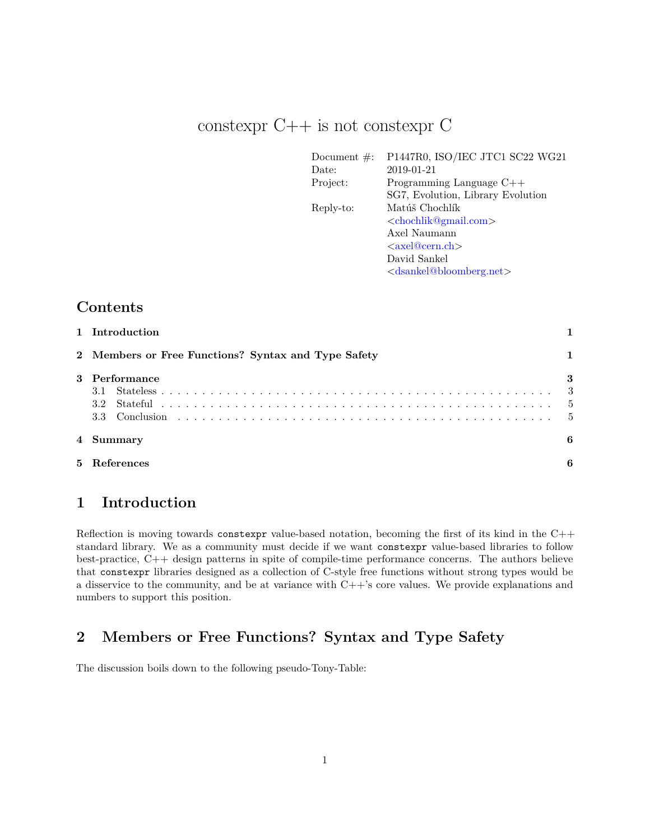# constexpr C++ is not constexpr C

| Document $\#$ : | P1447R0, ISO/IEC JTC1 SC22 WG21                 |
|-----------------|-------------------------------------------------|
| Date:           | 2019-01-21                                      |
| Project:        | Programming Language C++                        |
|                 | SG7, Evolution, Library Evolution               |
| Reply-to:       | Matúš Chochlík                                  |
|                 | <chochlik@gmail.com></chochlik@gmail.com>       |
|                 | Axel Naumann                                    |
|                 | $\langle x \rangle$ axel@down.ch $>$            |
|                 | David Sankel                                    |
|                 | <dsankel@bloomberg.net></dsankel@bloomberg.net> |

# **Contents**

| 1 Introduction                                      |   |
|-----------------------------------------------------|---|
| 2 Members or Free Functions? Syntax and Type Safety |   |
| 3 Performance<br>3.2<br>3.3                         | 3 |
| 4 Summary                                           | 6 |
| 5 References                                        |   |

# <span id="page-0-0"></span>**1 Introduction**

Reflection is moving towards constexpr value-based notation, becoming the first of its kind in the C++ standard library. We as a community must decide if we want constexpr value-based libraries to follow best-practice, C++ design patterns in spite of compile-time performance concerns. The authors believe that constexpr libraries designed as a collection of C-style free functions without strong types would be a disservice to the community, and be at variance with C++'s core values. We provide explanations and numbers to support this position.

# <span id="page-0-1"></span>**2 Members or Free Functions? Syntax and Type Safety**

The discussion boils down to the following pseudo-Tony-Table: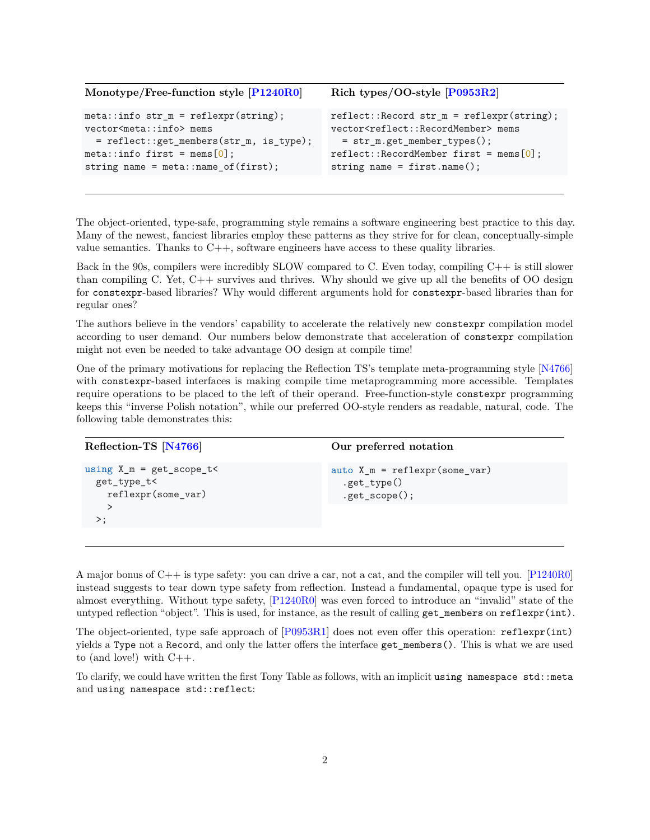| Monotype/Free-function style [P1240R0]  | Rich types/OO-style $[P0953R2]$                             |
|-----------------------------------------|-------------------------------------------------------------|
| $meta::info str_m = reflexpr(string);$  | $reflect::Record str_m = reflexpr(string);$                 |
| vector <meta::info> mems</meta::info>   | vector <reflect::recordmember> mems</reflect::recordmember> |
| = reflect::get_members(str_m, is_type); | = str_m.get_member_types();                                 |
| $meta::info first = mems[0];$           | $reflect::RecordMember first = mens[0];$                    |
| string name = $meta::name_of(first);$   | string name = $first.name()$ ;                              |

The object-oriented, type-safe, programming style remains a software engineering best practice to this day. Many of the newest, fanciest libraries employ these patterns as they strive for for clean, conceptually-simple value semantics. Thanks to  $C_{++}$ , software engineers have access to these quality libraries.

Back in the 90s, compilers were incredibly SLOW compared to C. Even today, compiling C++ is still slower than compiling C. Yet, C++ survives and thrives. Why should we give up all the benefits of OO design for constexpr-based libraries? Why would different arguments hold for constexpr-based libraries than for regular ones?

The authors believe in the vendors' capability to accelerate the relatively new constexpr compilation model according to user demand. Our numbers below demonstrate that acceleration of constexpr compilation might not even be needed to take advantage OO design at compile time!

One of the primary motivations for replacing the Reflection TS's template meta-programming style [\[N4766\]](#page-5-4) with constexpr-based interfaces is making compile time metaprogramming more accessible. Templates require operations to be placed to the left of their operand. Free-function-style constexpr programming keeps this "inverse Polish notation", while our preferred OO-style renders as readable, natural, code. The following table demonstrates this:

| Reflection-TS [N4766]                                            | Our preferred notation                                            |  |
|------------------------------------------------------------------|-------------------------------------------------------------------|--|
| using $X_m = get_score_t <$<br>get type t<<br>reflexpr(some_var) | auto $X$ m = reflexpr(some var)<br>.get_type()<br>$.get_score();$ |  |
| >∶                                                               |                                                                   |  |

A major bonus of C++ is type safety: you can drive a car, not a cat, and the compiler will tell you. [\[P1240R0\]](#page-5-2) instead suggests to tear down type safety from reflection. Instead a fundamental, opaque type is used for almost everything. Without type safety, [\[P1240R0\]](#page-5-2) was even forced to introduce an "invalid" state of the untyped reflection "object". This is used, for instance, as the result of calling  $get$ <sup>members</sup> on reflexpr(int).

The object-oriented, type safe approach of  $[P0953R1]$  does not even offer this operation: reflexpr(int) yields a Type not a Record, and only the latter offers the interface get\_members(). This is what we are used to (and love!) with  $C_{++}$ .

To clarify, we could have written the first Tony Table as follows, with an implicit using namespace std::meta and using namespace std::reflect: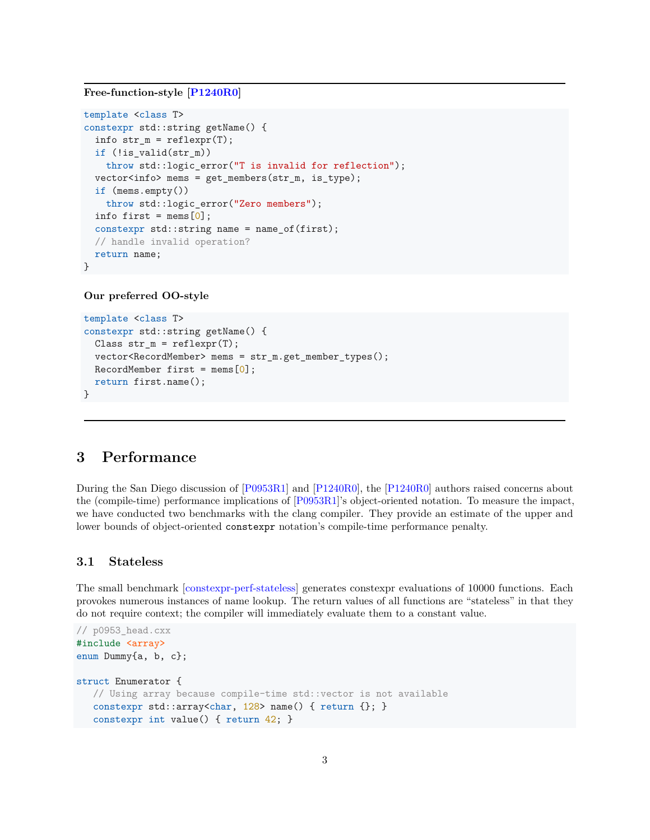### **Free-function-style [\[P1240R0\]](#page-5-2)**

```
template <class T>
constexpr std::string getName() {
 info str_m = reflexpr(T);if (!is_valid(str_m))
    throw std::logic error("T is invalid for reflection");
 vector<info> mems = get_members(str_m, is_type);
  if (mems.empty())
   throw std::logic_error("Zero members");
 info first = mems[0];
  constexpr std::string name = name of(first);
 // handle invalid operation?
 return name;
}
```
#### **Our preferred OO-style**

```
template <class T>
constexpr std::string getName() {
 Class str_m = reflexpr(T);vector<RecordMember> mems = str_m.get_member_types();
 \text{RecordMember first} = \text{mens}[0];
 return first.name();
}
```
### <span id="page-2-0"></span>**3 Performance**

During the San Diego discussion of [\[P0953R1\]](#page-5-5) and [\[P1240R0\]](#page-5-2), the [\[P1240R0\]](#page-5-2) authors raised concerns about the (compile-time) performance implications of [\[P0953R1\]](#page-5-5)'s object-oriented notation. To measure the impact, we have conducted two benchmarks with the clang compiler. They provide an estimate of the upper and lower bounds of object-oriented constexpr notation's compile-time performance penalty.

#### <span id="page-2-1"></span>**3.1 Stateless**

The small benchmark [\[constexpr-perf-stateless\]](#page-5-6) generates constexpr evaluations of 10000 functions. Each provokes numerous instances of name lookup. The return values of all functions are "stateless" in that they do not require context; the compiler will immediately evaluate them to a constant value.

```
// p0953_head.cxx
#include <array>
enum Dummy{a, b, c};
struct Enumerator {
   // Using array because compile-time std::vector is not available
   constexpr std::array<char, 128> name() { return {}; }
  constexpr int value() { return 42; }
```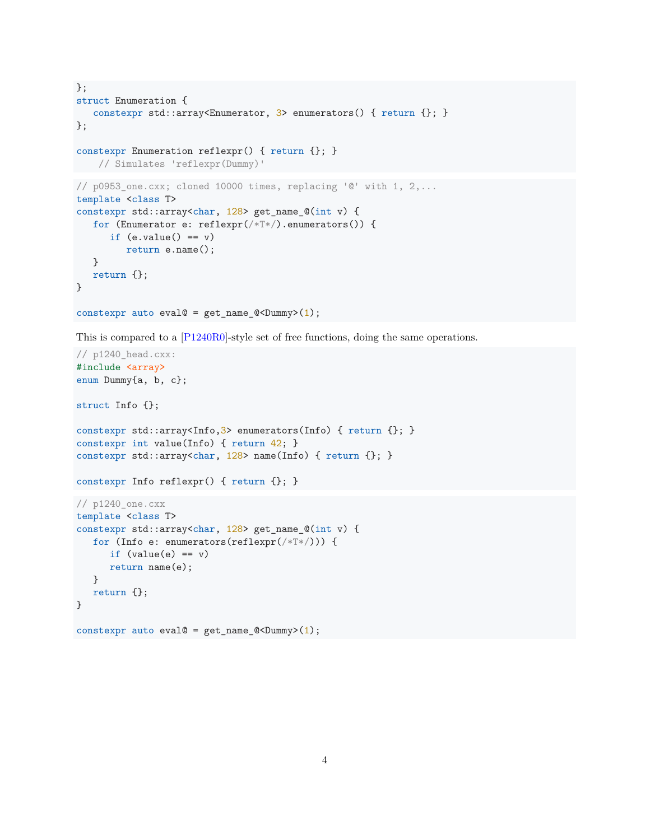```
};
struct Enumeration {
   constexpr std::array<Enumerator, 3> enumerators() { return {}; }
};
constexpr Enumeration reflexpr() { return {}; }
   // Simulates 'reflexpr(Dummy)'
// p0953_one.cxx; cloned 10000 times, replacing '@' with 1, 2,...
template <class T>
constexpr std::array<char, 128> get_name_@(int v) {
   for (Enumerator e: reflexpr(/*T*/).enumerators()) {
     if (e.value() == v)return e.name();
   }
  return {};
}
constexpr auto eval@ = get_name_Q<Dummy>(1);
```
This is compared to a [\[P1240R0\]](#page-5-2)-style set of free functions, doing the same operations.

```
// p1240_head.cxx:
#include <array>
enum Dummy{a, b, c};
struct Info {};
constexpr std::array<Info,3> enumerators(Info) { return {}; }
constexpr int value(Info) { return 42; }
constexpr std::array<char, 128 name(Info) { return {}; }
constexpr Info reflexpr() { return {}; }
// p1240_one.cxx
template <class T>
constexpr std::array<char, 128> get_name_@(int v) {
  for (Info e: enumerators(reflexpr(/*T*/))) {
      if (value(e) == v)return name(e);
   }
  return {};
}
constexpr auto eval@ = get_name_Q<Dummy>(1);
```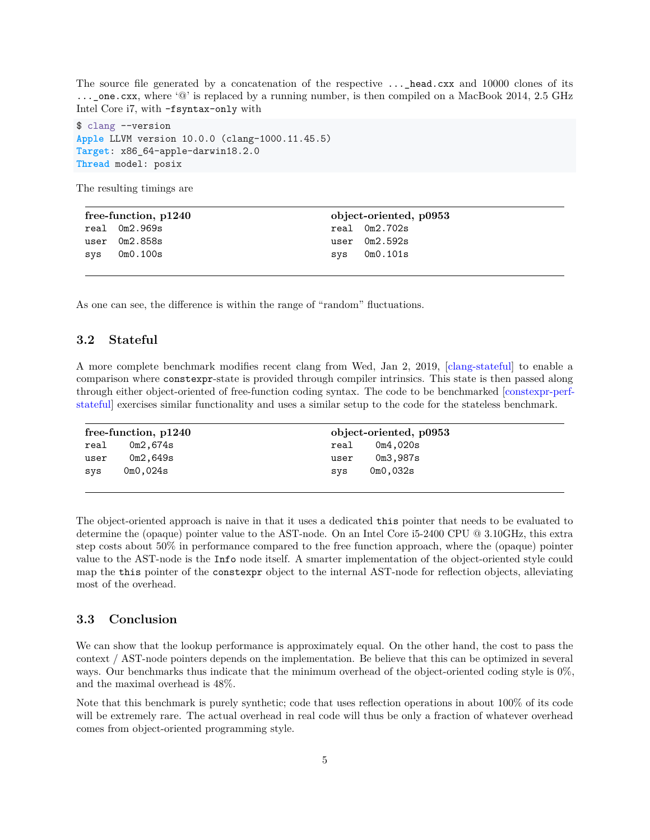The source file generated by a concatenation of the respective  $\dots$  head.cxx and 10000 clones of its ...\_one.cxx, where '@' is replaced by a running number, is then compiled on a MacBook 2014, 2.5 GHz Intel Core i7, with -fsyntax-only with

\$ clang --version **Apple** LLVM version 10.0.0 (clang-1000.11.45.5) **Target**: x86\_64-apple-darwin18.2.0 **Thread** model: posix

The resulting timings are

| free-function, p1240 |                | object-oriented, p0953 |                 |
|----------------------|----------------|------------------------|-----------------|
|                      | real Om2.969s  |                        | real 0m2.702s   |
|                      | user 0m2.858s  |                        | user $0m2.592s$ |
|                      | $sys$ 0m0.100s |                        | $sys$ 0m0.101s  |

As one can see, the difference is within the range of "random" fluctuations.

### <span id="page-4-0"></span>**3.2 Stateful**

A more complete benchmark modifies recent clang from Wed, Jan 2, 2019, [\[clang-stateful\]](#page-5-7) to enable a comparison where constexpr-state is provided through compiler intrinsics. This state is then passed along through either object-oriented of free-function coding syntax. The code to be benchmarked [\[constexpr-perf](#page-5-8)[stateful\]](#page-5-8) exercises similar functionality and uses a similar setup to the code for the stateless benchmark.

| $free\text{-}function, p1240$ |                                    | object-oriented, p0953 |          |  |
|-------------------------------|------------------------------------|------------------------|----------|--|
| real                          | 0m2,674s                           | real                   | 0m4.020s |  |
| user                          | 0m2,649s                           | user                   | 0m3.987s |  |
| SVS                           | 0 <sub>m0</sub> , 0 <sub>24s</sub> | svs                    | 0m0,032s |  |
|                               |                                    |                        |          |  |

The object-oriented approach is naive in that it uses a dedicated this pointer that needs to be evaluated to determine the (opaque) pointer value to the AST-node. On an Intel Core i5-2400 CPU @ 3.10GHz, this extra step costs about 50% in performance compared to the free function approach, where the (opaque) pointer value to the AST-node is the Info node itself. A smarter implementation of the object-oriented style could map the this pointer of the constexpr object to the internal AST-node for reflection objects, alleviating most of the overhead.

### <span id="page-4-1"></span>**3.3 Conclusion**

We can show that the lookup performance is approximately equal. On the other hand, the cost to pass the context / AST-node pointers depends on the implementation. Be believe that this can be optimized in several ways. Our benchmarks thus indicate that the minimum overhead of the object-oriented coding style is 0%, and the maximal overhead is 48%.

Note that this benchmark is purely synthetic; code that uses reflection operations in about 100% of its code will be extremely rare. The actual overhead in real code will thus be only a fraction of whatever overhead comes from object-oriented programming style.